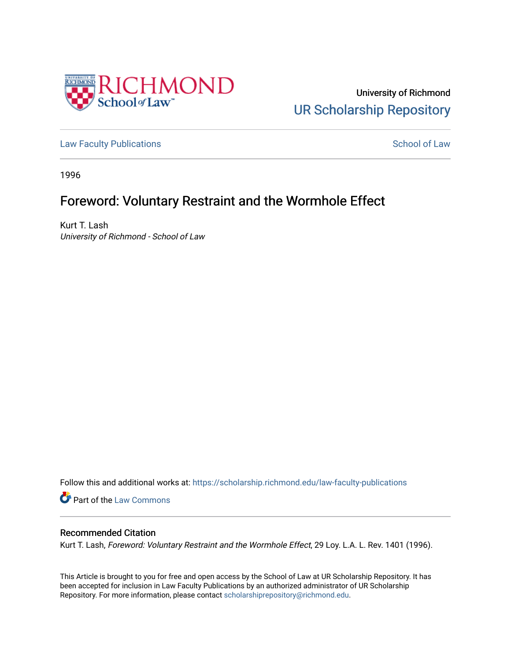

University of Richmond [UR Scholarship Repository](https://scholarship.richmond.edu/) 

[Law Faculty Publications](https://scholarship.richmond.edu/law-faculty-publications) **School of Law** School of Law

1996

# Foreword: Voluntary Restraint and the Wormhole Effect

Kurt T. Lash University of Richmond - School of Law

Follow this and additional works at: [https://scholarship.richmond.edu/law-faculty-publications](https://scholarship.richmond.edu/law-faculty-publications?utm_source=scholarship.richmond.edu%2Flaw-faculty-publications%2F1619&utm_medium=PDF&utm_campaign=PDFCoverPages) 

**Part of the [Law Commons](http://network.bepress.com/hgg/discipline/578?utm_source=scholarship.richmond.edu%2Flaw-faculty-publications%2F1619&utm_medium=PDF&utm_campaign=PDFCoverPages)** 

### Recommended Citation

Kurt T. Lash, Foreword: Voluntary Restraint and the Wormhole Effect, 29 Loy. L.A. L. Rev. 1401 (1996).

This Article is brought to you for free and open access by the School of Law at UR Scholarship Repository. It has been accepted for inclusion in Law Faculty Publications by an authorized administrator of UR Scholarship Repository. For more information, please contact [scholarshiprepository@richmond.edu](mailto:scholarshiprepository@richmond.edu).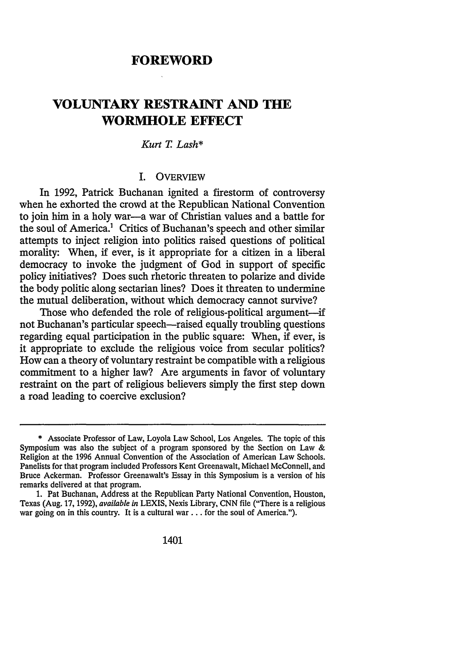## **FOREWORD**

# **VOLUNTARY RESTRAINT AND THE WORMHOLE EFFECT**

#### *Kurt* T. *Lash\**

### I. **OVERVIEW**

In 1992, Patrick Buchanan ignited a firestorm of controversy when he exhorted the crowd at the Republican National Convention to join him in a holy war-a war of Christian values and a battle for the soul of America.<sup>1</sup> Critics of Buchanan's speech and other similar attempts to inject religion into politics raised questions of political morality: When, if ever, is it appropriate for a citizen in a liberal democracy to invoke the judgment of God in support of specific policy initiatives? Does such rhetoric threaten to polarize and divide the body politic along sectarian lines? Does it threaten to undermine the mutual deliberation, without which democracy cannot survive?

Those who defended the role of religious-political argument-if not Buchanan's particular speech—raised equally troubling questions regarding equal participation in the public square: When, if ever, is it appropriate to exclude the religious voice from secular politics? How can a theory of voluntary restraint be compatible with a religious commitment to a higher law? Are arguments in favor of voluntary restraint on the part of religious believers simply the first step down a road leading to coercive exclusion?

<sup>\*</sup> Associate Professor of Law, Loyola Law School, Los Angeles. The topic of this Symposium was also the subject of a program sponsored by the Section on Law & Religion at the 1996 Annual Convention of the Association of American Law Schools. Panelists for that program included Professors Kent Greenawalt, Michael McConnell, and Bruce Ackerman. Professor Greenawalt's Essay in this Symposium is a version of his remarks delivered at that program.

<sup>1.</sup> Pat Buchanan, Address at the Republican Party National Convention, Houston, Texas (Aug. 17, 1992), *available in* LEXIS, Nexis Library, CNN file ("There is a religious war going on in this country. It is a cultural war . . . for the soul of America.").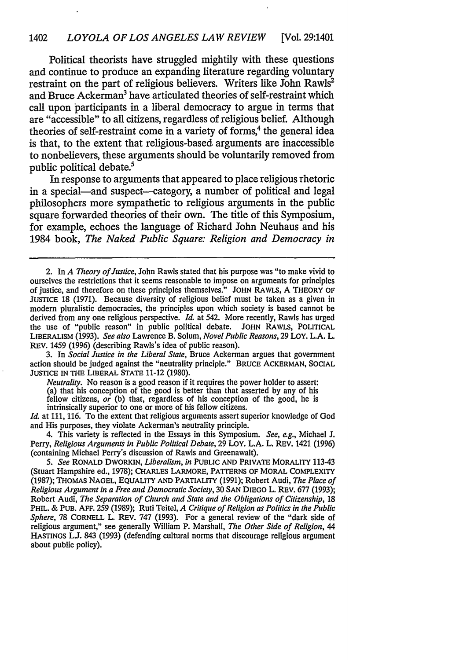Political theorists have struggled mightily with these questions and continue to produce an expanding literature regarding voluntary restraint on the part of religious believers. Writers like John Rawls<sup>2</sup> and Bruce Ackerman<sup>3</sup> have articulated theories of self-restraint which call upon participants in a liberal democracy to argue in terms that are "accessible" to all citizens, regardless of religious belief. Although theories of self-restraint come in a variety of forms,<sup>4</sup> the general idea is that, to the extent that religious-based arguments are inaccessible to nonbelievers, these arguments should be voluntarily removed from public political debate.<sup>5</sup>

In response to arguments that appeared to place religious rhetoric in a special—and suspect—category, a number of political and legal philosophers more sympathetic to religious arguments in the public square forwarded theories of their own. The title of this Symposium, for example, echoes the language of Richard John Neuhaus and his 1984 book, *The Naked Public Square: Religion and Democracy in* 

3. In *Social Justice in the Liberal State,* Bruce Ackerman argues that government action should be judged against the "neutrality principle." BRUCE ACKERMAN, SOCIAL JUSTICE IN THE LIBERAL STATE 11-12 (1980).

*Neutrality.* No reason is a good reason if it requires the power holder to assert: (a) that his conception of the good is better than that asserted by any of his fellow citizens, *or* (b) that, regardless of his conception of the good, he is intrinsically superior to one or more of his fellow citizens.

*Id.* at 111, 116. To the extent that religious arguments assert superior knowledge of God and His purposes, they violate Ackerman's neutrality principle.

4. This variety is reflected in the Essays in this Symposium. *See, e.g.,* Michael J. Perry, *Religious Arguments in Public Political Debate,* 29 LOY. L.A. L. REV. 1421 (1996) (containing Michael Perry's discussion of Rawls and Greenawalt).

5. *See* RONALD DWORKIN, *Liberalism, in* PUBLIC AND PRIVATE MORALITY 113-43 (Stuart Hampshire ed., 1978); CHARLES LARMORE, PATTERNS OF MORAL COMPLEXITY (1987); THOMAS NAGEL, EQUALITY AND PARTIALITY (1991); Robert Audi, *The Place of Religious Argument in a Free and Democratic Society,* 30 SAN DIEGO L. REV. 677 (1993); Robert Audi, *The Separation of Church and State and the Obligations of Citizenship,* 18 PHIL. & PUB. AFF. 259 (1989); Ruti Teitel, *A Critique of Religion as Politics in the Public Sphere,* 78 CORNELL L. REV. 747 (1993). For a general review of the "dark side of religious argument," see generally William P. Marshall, *The Other Side of Religion,* 44 HASTINGS LJ. 843 (1993) (defending cultural norms that discourage religious argument about public policy).

<sup>2.</sup> In *A Theory of Justice,* John Rawls stated that his purpose was "to make vivid to ourselves the restrictions that it seems reasonable to impose on arguments for principles of justice, and therefore on these principles themselves." JOHN RAWLS, A THEORY OF JUSTICE 18 (1971). Because diversity of religious belief must be taken as a given in modem pluralistic democracies, the principles upon which society is based cannot be derived from any one religious perspective. *Id.* at 542. More recently, Rawls has urged the use of "public reason" in public political debate. JOHN RAWLS, POLITICAL LIBERALISM (1993). *See also* Lawrence B. Solum, *Novel Public Reasons,* 29 LOY. L.A. L. REV. 1459 (1996) (describing Rawls's idea of public reason).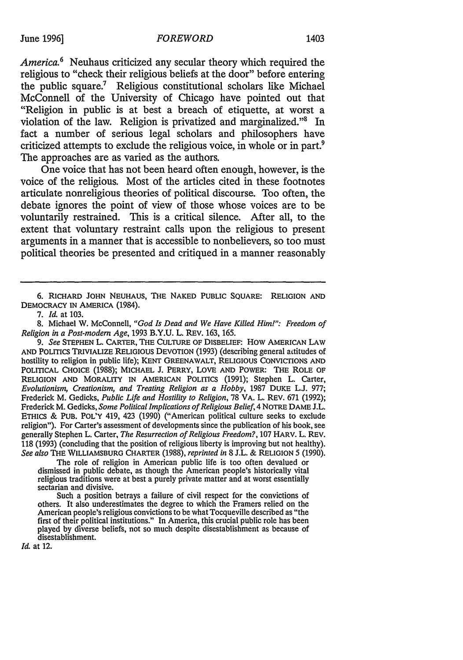*America.* 6 Neuhaus criticized any secular theory which required the religious to "check their religious beliefs at the door" before entering the public square.7 Religious constitutional scholars like Michael McConnell of the University of Chicago have pointed out that "Religion in public is at best a breach of etiquette, at worst a violation of the law. Religion is privatized and marginalized."8 In fact a number of serious legal scholars and philosophers have criticized attempts to exclude the religious voice, in whole or in part.<sup>9</sup> The approaches are as varied as the authors.

One voice that has not been heard often enough, however, is the voice of the religious. Most of the articles cited in these footnotes articulate nonreligious theories of political discourse. Too often, the debate ignores the point of view of those whose voices are to be voluntarily restrained. This is a critical silence. After all, to the extent that voluntary restraint calls upon the religious to present arguments in a manner that is accessible to nonbelievers, so too must political theories be presented and critiqued in a manner reasonably

The role of religion in American public life is too often devalued or dismissed in public debate, as though the American people's historically vital religious traditions were at best a purely private matter and at worst essentially sectarian and divisive.

Such a position betrays a failure of civil respect for the convictions of others. It also underestimates the degree to which the Framers relied on the American people's religious convictions to be what Tocqueville described as "the first of their political institutions." In America, this crucial public role has been played by diverse beliefs, not so much despite disestablishment as because of disestablishment.

*Id.* at 12.

<sup>6.</sup> RICHARD JOHN NEUHAUS, THE NAKED PUBLIC SQUARE: RELIGION AND DEMOCRACY IN AMERICA (1984).

<sup>7.</sup> *Id.* at 103.

<sup>8.</sup> Michael W. McConnell, *"God ls Dead and We Have Killed Him!": Freedom of Religion* in *a Post-modem Age,* 1993 B.Y.U. L. REV. 163, 165.

<sup>9.</sup> *See* STEPHEN L. CARTER, THE CULTURE OF DISBELIEF: How AMERICAN LAW AND POLITICS TRIVIALIZE RELIGIOUS DEVOTION (1993) (describing general actitudes of hostility to religion in public life); KENT GREENAWALT, RELIGIOUS CONVICTIONS AND POLITICAL CHOICE (1988); MICHAEL J. PERRY, LOVE AND POWER: THE ROLE OF RELIGION AND MORALITY IN AMERICAN POLITICS (1991); Stephen L. Carter, *Evolutionism, Creationism, and Treating Religion as a Hobby,* 1987 DUKE L.J. 977; Frederick M. Gedicks, *Public Life and Hostility to Religion,* 78 VA. L. REV. 671 (1992); Frederick M. Gedicks, *Some Political Implications of Religious Belief,* 4 NOTRE DAME J.L. ETHICS & PUB. POL'Y 419, 423 (1990} ("American political culture seeks to exclude religion"). For Carter's assessment of developments since the publication of his book, see generally Stephen L. Carter, *The Resurrection of Religious Freedom?,* 107 HARV. L. REV. 118 (1993) ( concluding that the position of religious liberty is improving but not healthy). *See also* THE WILLIAMSBURG CHARTER (1988), *reprinted in* 8 J.L. & RELIGION 5 (1990).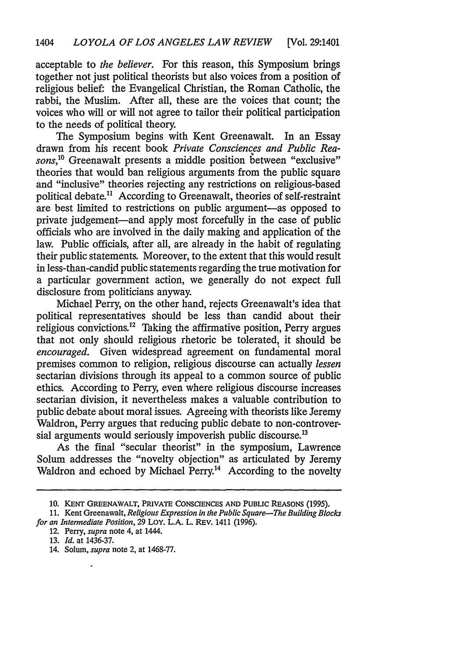acceptable to *the believer.* For this reason, this Symposium brings together not just political theorists but also voices from a position of religious belief: the Evangelical Christian, the Roman Catholic, the rabbi, the Muslim. After all, these are the voices that count; the voices who will or will not agree to tailor their political participation to the needs of political theory.

The Symposium begins with Kent Greenawalt. In an Essay drawn from his recent book *Private Consciences and Public Rea*sons,<sup>10</sup> Greenawalt presents a middle position between "exclusive" theories that would ban religious arguments from the public square and "inclusive" theories rejecting any restrictions on religious-based political debate.11 According to Greenawalt, theories of self-restraint are best limited to restrictions on public argument-as opposed to private judgement-and apply most forcefully in the case of public officials who are involved in the daily making and application of the law. Public officials, after all, are already in the habit of regulating their public statements. Moreover, to the extent that this would result in less-than-candid public statements regarding the true motivation for a particular government action, we generally do not expect full disclosure from politicians anyway.

Michael Perry, on the other hand, rejects Greenawalt's idea that political representatives should be less than candid about their religious convictions.12 Taking the affirmative position, Perry argues that not only should religious rhetoric be tolerated, it should be *encouraged.* Given widespread agreement on fundamental moral premises common to religion, religious discourse can actually *lessen*  sectarian divisions through its appeal to a common source of public ethics. According to Perry, even where religious discourse increases sectarian division, it nevertheless makes a valuable contribution to public debate about moral issues. Agreeing with theorists like Jeremy Waldron, Perry argues that reducing public debate to non-controversial arguments would seriously impoverish public discourse.<sup>13</sup>

As the final "secular theorist" in the symposium, Lawrence Solum addresses the "novelty objection" as articulated by Jeremy Waldron and echoed by Michael Perry.<sup>14</sup> According to the novelty

12. Perry, *supra* note 4, at 1444.

14. Solum, *supra* note 2, at 1468-77.

**<sup>10.</sup> KENT GREENAWALT, PRIVATE CONSCIENCES AND PUBLIC REASONS (1995).** 

<sup>11.</sup> Kent Greenawalt, *Religious Expression in the Public Square-The Building Blocks for an Intermediate Position,* 29 LOY. L.A. L. REV. 1411 (1996).

<sup>13.</sup> *Id.* at 1436-37.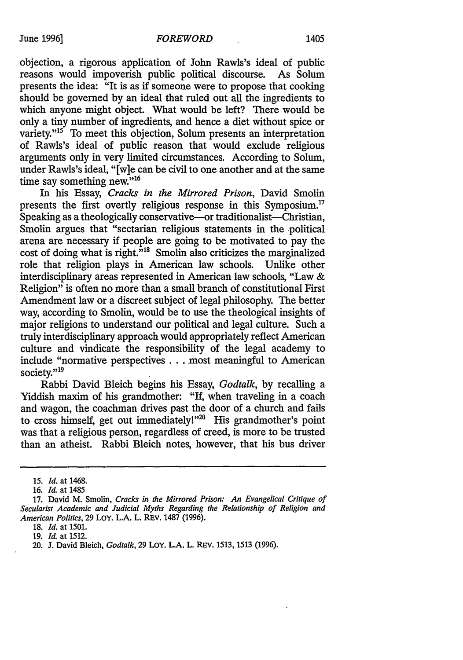objection, a rigorous application of John Rawls's ideal of public reasons would impoverish public political discourse. As Solum presents the idea: "It is as if someone were to propose that cooking should be governed by an ideal that ruled out all the ingredients to which anyone might object. What would be left? There would be only a tiny number of ingredients, and hence a diet without spice or variety."<sup>15</sup> To meet this objection, Solum presents an interpretation of Rawls's ideal of public reason that would exclude religious arguments only in very limited circumstances. According to Solum, under Rawls's ideal, "[w]e can be civil to one another and at the same time say something new."<sup>16</sup>

In his Essay, *Cracks in the Mirrored Prison,* David Smolin presents the first overtly religious response in this Symposium.17 Speaking as a theologically conservative—or traditionalist—Christian, Smolin argues that "sectarian religious statements in the political arena are necessary if people are going to be motivated to pay the cost of doing what is right.<sup>"18</sup> Smolin also criticizes the marginalized role that religion plays in American law schools. Unlike other interdisciplinary areas represented in American law schools, "Law & Religion" is often no more than a small branch of constitutional First Amendment law or a discreet subject of legal philosophy. The better way, according to Smolin, would be to use the theological insights of major religions to understand our political and legal culture. Such a truly interdisciplinary approach would appropriately reflect American culture and vindicate the responsibility of the legal academy to include "normative perspectives . . . most meaningful to American society."<sup>19</sup>

Rabbi David Bleich begins his Essay, *Godtalk,* by recalling a Yiddish maxim of his grandmother: "If, when traveling in a coach and wagon, the coachman drives past the door of a church and fails to cross himself, get out immediately!"20 His grandmother's point was that a religious person, regardless of creed, is more to be trusted than an atheist. Rabbi Bleich notes, however, that his bus driver

18. *Id.* at 1501.

19. *Id.* at 1512.

<sup>15.</sup> *Id.* at 1468.

<sup>16.</sup> *Id.* at 1485

<sup>17.</sup> David M. Smolin, *Cracks in the Mirrored Prison: An Evangelical Critique of Secularist Academic and Judicial Myths Regarding the Relationship of Religion and American Politics,* 29 LoY. L.A. L. REV. 1487 (1996).

<sup>20.</sup> **J.** David Bleich, *Godtalk,* 29 LoY. **L.A.** L. REV. 1513, 1513 (1996).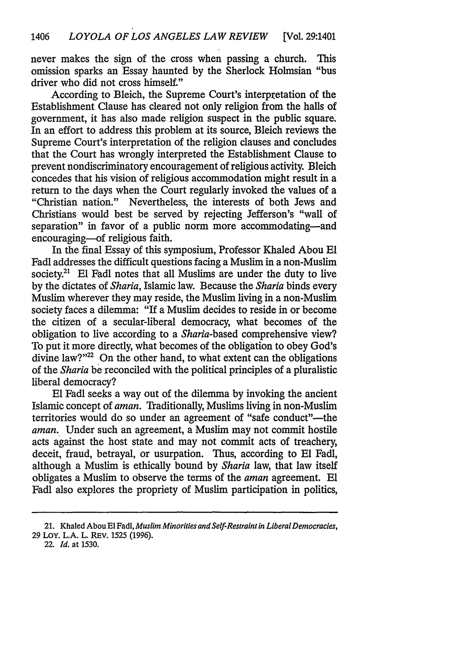never makes the sign of the cross when passing a church. This omission sparks an Essay haunted by the Sherlock Holmsian "bus driver who did not cross himself."

According to Bleich, the Supreme Court's interpretation of the Establishment Clause has cleared not only religion from the halls of government, it has also made religion suspect in the public square. In an effort to address this problem at its source, Bleich reviews the Supreme Court's interpretation of the religion clauses and concludes that the Court has wrongly interpreted the Establishment Clause to prevent nondiscriminatory encouragement of religious activity. Bleich concedes that his vision of religious accommodation might result in a return to the days when the Court regularly invoked the values of a "Christian nation." Nevertheless, the interests of both Jews and Christians would best be served by rejecting Jefferson's "wall of separation" in favor of a public norm more accommodating-and encouraging-of religious faith.

In the final Essay of this symposium, Professor Khaled Abou El Fadl addresses the difficult questions facing a Muslim in a non-Muslim society.<sup>21</sup> El Fadl notes that all Muslims are under the duty to live by the dictates of *Sharia,* Islamic law. Because the *Sharia* binds every Muslim wherever they may reside, the Muslim living in a non-Muslim society faces a dilemma: "If a Muslim decides to reside in or become the citizen of a secular-liberal democracy, what becomes of the obligation to live according to a *Shana-based* comprehensive view? To put it more directly, what becomes of the obligation to obey God's divine law?"<sup>22</sup> On the other hand, to what extent can the obligations of the *Sharia* be reconciled with the political principles of a pluralistic liberal democracy?

El Fadl seeks a way out of the dilemma by invoking the ancient Islamic concept of *aman.* Traditionally, Muslims living in non-Muslim territories would do so under an agreement of "safe conduct"-the *aman.* Under such an agreement, a Muslim may not commit hostile acts against the host state and may not commit acts of treachery, deceit, fraud, betrayal, or usurpation. Thus, according to El Fadl, although a Muslim is ethically bound by *Sharia* law, that law itself obligates a Muslim to observe the terms of the *aman* agreement. El Fadl also explores the propriety of Muslim participation in politics,

<sup>21.</sup> Khaled Abou El Fad!, *Muslim Minorities and Self-Restraint in Liberal Democracies,*  29 LoY. L.A. L. REV. 1525 (1996).

<sup>22.</sup> *Id.* at 1530.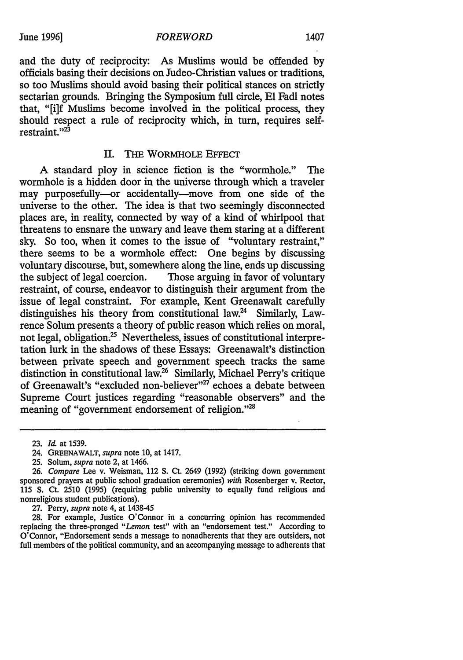and the duty of reciprocity: As Muslims would be offended by officials basing their decisions on Judea-Christian values or traditions, so too Muslims should avoid basing their political stances on strictly sectarian grounds. Bringing the Symposium full circle, El Fadl notes that, "[i]f Muslims become involved in the political process, they should respect a rule of reciprocity which, in turn, requires selfrestraint."<sup>23</sup>

### II. THE WORMHOLE EFFECT

A standard ploy in science fiction is the "wormhole." The wormhole is a hidden door in the universe through which a traveler may purposefully-or accidentally-move from one side of the universe to the other. The idea is that two seemingly disconnected places are, in reality, connected by way of a kind of whirlpool that threatens to ensnare the unwary and leave them staring at a different sky. So too, when it comes to the issue of "voluntary restraint," there seems to be a wormhole effect: One begins by discussing voluntary discourse, but, somewhere along the line, ends up discussing the subject of legal coercion. Those arguing in favor of voluntary restraint, of course, endeavor to distinguish their argument from the issue of legal constraint. For example, Kent Greenawalt carefully distinguishes his theory from constitutional law.24 Similarly, Lawrence Solum presents a theory of public reason which relies on moral, not legal, obligation.<sup>25</sup> Nevertheless, issues of constitutional interpretation lurk in the shadows of these Essays: Greenawalt's distinction between private speech and government speech tracks the same distinction in constitutional law.26 Similarly, Michael Perry's critique of Greenawalt's "excluded non-believer"<sup>27</sup> echoes a debate between Supreme Court justices regarding "reasonable observers" and the meaning of "government endorsement of religion."28

27. Perry, *supra* note 4, at 1438-45

28. For example, Justice O'Connor in a concurring opinion has recommended replacing the three-pronged *"Lemon* test" with an "endorsement test." According to O'Connor, "Endorsement sends a message to nonadherents that they are outsiders, not full members of the political community, and an accompanying message to adherents that

<sup>23.</sup> *Id.* at 1539.

<sup>24.</sup> GREENAWALT, *supra* note 10, at 1417.

<sup>25.</sup> Solum, *supra* note 2, at 1466.

<sup>26.</sup> *Compare* Lee v. Weisman, 112 S. Ct. 2649 (1992) (striking down government sponsored prayers at public school graduation ceremonies) *with* Rosenberger v. Rector, 115 S. Ct. 2510 (1995) (requiring public university to equally fund religious and nonreligious student publications).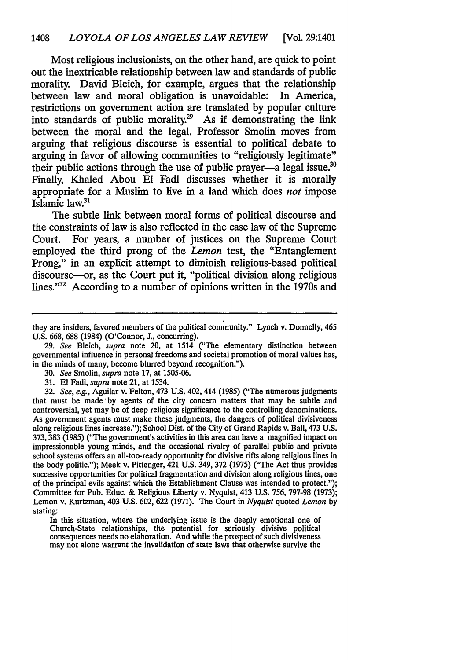Most religious inclusionists, on the other hand, are quick to point out the inextricable relationship between law and standards of public morality. David Bleich, for example, argues that the relationship between law and moral obligation is unavoidable: In America, restrictions on government action are translated by popular culture into standards of public morality.29 As if demonstrating the link between the moral and the legal, Professor Smolin moves from arguing that religious discourse is essential to political debate to arguing. in favor of allowing communities to "religiously legitimate" their public actions through the use of public prayer—a legal issue.<sup>30</sup> Finally, Khaled Abou El Fadl discusses whether it is morally appropriate for a Muslim to live in a land which does *not* impose Islamic law.31

The subtle link between moral forms of political discourse and the constraints of law is also reflected in the case law of the Supreme Court. For years, a number of justices on the Supreme Court employed the third prong of the *Lemon* test, the "Entanglement Prong," in an explicit attempt to diminish religious-based political discourse-or, as the Court put it, "political division along religious lines."<sup>32</sup> According to a number of opinions written in the 1970s and

29. *See* Bleich, *supra* note 20, at 1514 ("The elementary distinction between governmental influence in personal freedoms and societal promotion of moral values has, in the minds of many, become blurred beyond recognition.").

- 30. *See* Smolin, *supra* note 17, at 1505-06.
- 31. El Fadl, *supra* note 21, at 1534.

32. *See, e.g.,* Aguilar v. Felton, 473 U.S. 402, 414 {1985) {"The numerous judgments that must be made· by agents of the city concern matters that may be subtle and controversial, yet may be of deep religious significance to the controlling denominations. As government agents must make these judgments, the dangers of political divisiveness along religious lines increase."); School Dist. of the City of Grand Rapids v. Ball, 473 U.S. 373, 383 {1985) {"The government's activities in this area can have a magnified impact on impressionable young minds, and the occasional rivalry of parallel public and private school systems offers an all-too-ready opportunity for divisive rifts along religious lines in the body politic."); Meek v. Pittenger, 421 U.S. 349, 372 {1975) {"The Act thus provides successive opportunities for political fragmentation and division along religious lines, one of the principal evils against which the Establishment Clause was intended to protect."); Committee for Pub. Educ. & Religious Liberty v. Nyquist, 413 U.S. 756, 797-98 {1973); Lemon v. Kurtzman, 403 U.S. 602, 622 {1971). The Court in *Nyquist* quoted *Lemon* by stating:

In this situation, where the underlying issue is the deeply emotional one of Church-State relationships, the potential for seriously divisive political consequences needs no elaboration. And while the prospect of such divisiveness may not alone warrant the invalidation of state laws that otherwise survive the

they are insiders, favored members of the political community." Lynch v. Donnelly, 465 U.S. 668, 688 {1984) {O'Connor, J., concurring).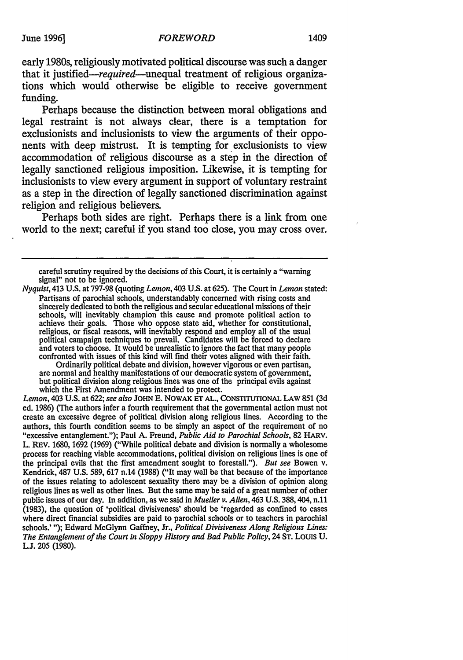early 1980s, religiously motivated political discourse was such a danger that it justified—required—unequal treatment of religious organizations which would otherwise be eligible to receive government funding.

Perhaps because the distinction between moral obligations and legal restraint is not always clear, there is a temptation for exclusionists and inclusionists to view the arguments of their opponents with deep mistrust. It is tempting for exclusionists to view accommodation of religious discourse as a step in the direction of legally sanctioned religious imposition. Likewise, it is tempting for inclusionists to view every argument in support of voluntary restraint as a step in the direction of legally sanctioned discrimination against religion and religious believers.

Perhaps both sides are right. Perhaps there is a link from one world to the next; careful if you stand too close, you may cross over.

*Nyquist,* 413 U.S. at 797-98 (quoting *Lemon,* 403 U.S. at 625). The Court in *Lemon* stated: Partisans of parochial schools, understandably concerned with rising costs and sincerely dedicated to both the religious and secular educational missions of their schools, will inevitably champion this cause and promote political action to achieve their goals. Those who oppose state aid, whether for constitutional, religious, or fiscal reasons, will inevitably respond and employ all of the usual political campaign techniques to prevail. Candidates will be forced to declare and voters to choose. It would be unrealistic to ignore the fact that many people confronted with issues of this kind will find their votes aligned with their faith.<br>Ordinarily political debate and division, however vigorous or even partisan,

are normal and healthy manifestations of our democratic system of government, but political division along religious lines was one of the principal evils against which the First Amendment was intended to protect.

*Lemon,* 403 U.S. at 622; *see also* JOHN E. NOWAK ET AL., CONSTITUTIONAL LAW 851 (3d ed. 1986) (The authors infer a fourth requirement that the governmental action must not create an excessive degree of political division along religious lines. According to the authors, this fourth condition seems to be simply an aspect of the requirement of no "excessive entanglement."); Paul A. Freund, *Public Aid to Parochial Schools,* 82 HARV. L. REV. 1680, 1692 (1969) ("While political debate and division is normally a wholesome process for reaching viable accommodations, political division on religious lines is one of the principal evils that the first amendment sought to forestall."). *But see* Bowen v. Kendrick, 487 U.S. 589, 617 n.14 (1988) ("It may well be that because of the importance of the issues relating to adolescent sexuality there may be a division of opinion along religious lines as well as other lines. But the same may be said of a great number of other public issues of our day. In addition, as we said in *Mueller v. Allen,* 463 U.S. 388,404, n.11 (1983), the question of 'political divisiveness' should be 'regarded as confined to cases where direct financial subsidies are paid to parochial schools or to teachers in parochial schools.' "); Edward McGlynn Gaffney, Jr., *Political Divisiveness Along Religious Lines: The Entanglement of the Court in Sloppy History and Bad Public Policy,* 24 ST. LOUIS U. L.J. 205 (1980).

careful scrutiny required by the decisions of this Court, it is certainly a "warning signal" not to be ignored.